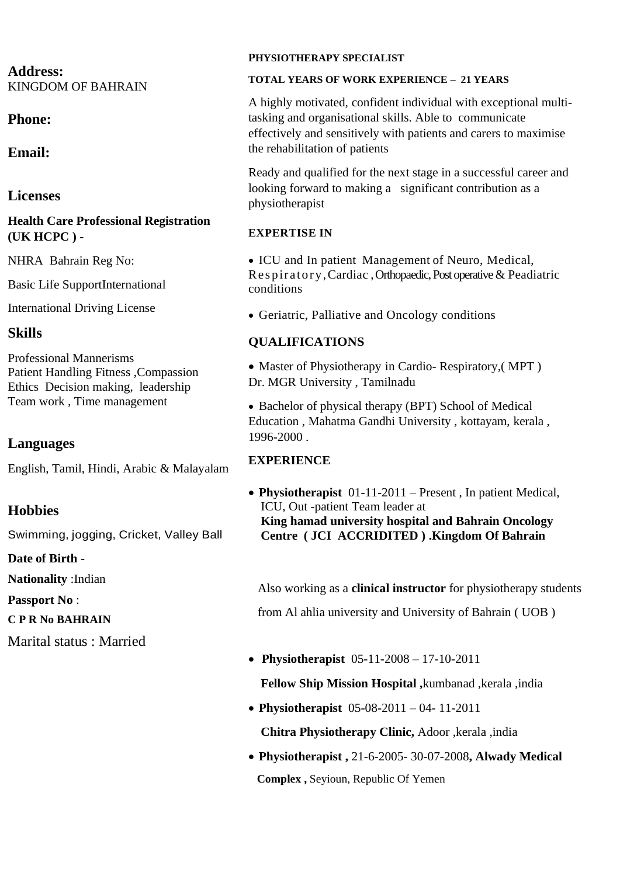## **Address:** KINGDOM OF BAHRAIN

# **Phone:**

**Email:**

# **Licenses**

## **Health Care Professional Registration (UK HCPC ) -**

NHRA Bahrain Reg No:

Basic Life SupportInternational

International Driving License

# **Skills**

Professional Mannerisms Patient Handling Fitness ,Compassion Ethics Decision making, leadership Team work , Time management

# **Languages**

English, Tamil, Hindi, Arabic & Malayalam

# **Hobbies**

Swimming, jogging, Cricket, Valley Ball

**Date of Birth** -

**Nationality** :Indian

**Passport No** :

**C P R No BAHRAIN**

Marital status : Married

### **PHYSIOTHERAPY SPECIALIST**

#### **TOTAL YEARS OF WORK EXPERIENCE – 21 YEARS**

A highly motivated, confident individual with exceptional multitasking and organisational skills. Able to communicate effectively and sensitively with patients and carers to maximise the rehabilitation of patients

Ready and qualified for the next stage in a successful career and looking forward to making a significant contribution as a physiotherapist

## **EXPERTISE IN**

• ICU and In patient Management of Neuro, Medical, Res piratory,Cardiac , Orthopaedic, Post operative & Peadiatric conditions

• Geriatric, Palliative and Oncology conditions

# **QUALIFICATIONS**

• Master of Physiotherapy in Cardio- Respiratory, (MPT) Dr. MGR University , Tamilnadu

• Bachelor of physical therapy (BPT) School of Medical Education , Mahatma Gandhi University , kottayam, kerala , 1996-2000 .

## **EXPERIENCE**

• **Physiotherapist** 01-11-2011 – Present , In patient Medical, ICU, Out -patient Team leader at  **King hamad university hospital and Bahrain Oncology Centre ( JCI ACCRIDITED ) .Kingdom Of Bahrain**

 Also working as a **clinical instructor** for physiotherapy students from Al ahlia university and University of Bahrain ( UOB )

• **Physiotherapist** 05-11-2008 – 17-10-2011

 **Fellow Ship Mission Hospital ,**kumbanad ,kerala ,india

• **Physiotherapist** 05-08-2011 – 04- 11-2011

 **Chitra Physiotherapy Clinic,** Adoor ,kerala ,india

• **Physiotherapist ,** 21-6-2005- 30-07-2008**, Alwady Medical Complex ,** Seyioun, Republic Of Yemen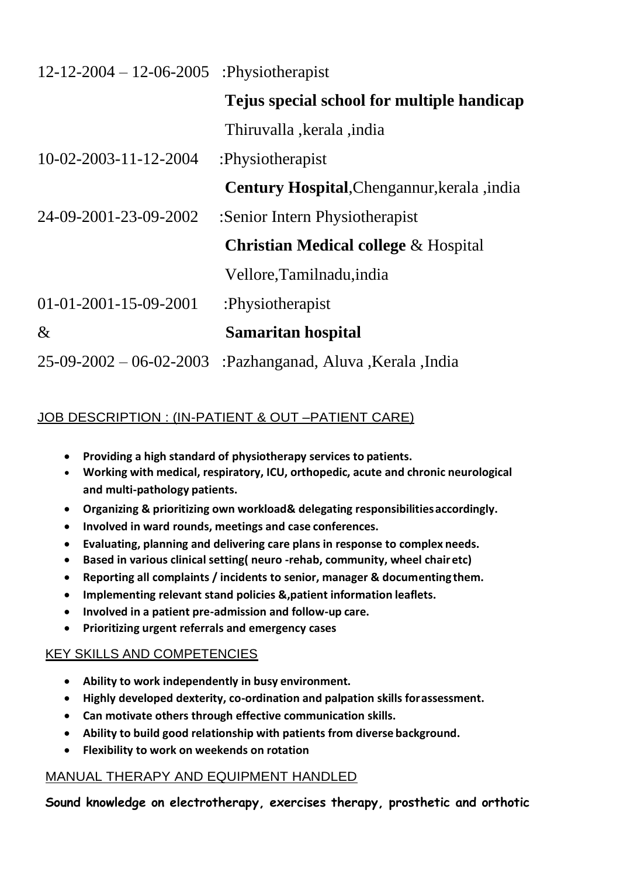| $12 - 12 - 2004 - 12 - 06 - 2005$ | :Physiotherapist                                |
|-----------------------------------|-------------------------------------------------|
|                                   | Tejus special school for multiple handicap      |
|                                   | Thiruvalla, kerala, india                       |
| 10-02-2003-11-12-2004             | :Physiotherapist                                |
|                                   | Century Hospital, Chengannur, kerala, india     |
| 24-09-2001-23-09-2002             | :Senior Intern Physiotherapist                  |
|                                   | <b>Christian Medical college &amp; Hospital</b> |
|                                   | Vellore, Tamilnadu, india                       |
| $01 - 01 - 2001 - 15 - 09 - 2001$ | :Physiotherapist                                |
| $\&$                              | Samaritan hospital                              |
| $25-09-2002-06-02-2003$           | :Pazhanganad, Aluva, Kerala, India              |

## JOB DESCRIPTION : (IN-PATIENT & OUT –PATIENT CARE)

- **Providing a high standard of physiotherapy services to patients.**
- **Working with medical, respiratory, ICU, orthopedic, acute and chronic neurological and multi-pathology patients.**
- **Organizing & prioritizing own workload& delegating responsibilitiesaccordingly.**
- **Involved in ward rounds, meetings and case conferences.**
- **Evaluating, planning and delivering care plans in response to complex needs.**
- **Based in various clinical setting( neuro -rehab, community, wheel chairetc)**
- **Reporting all complaints / incidents to senior, manager & documentingthem.**
- **Implementing relevant stand policies &,patient information leaflets.**
- **Involved in a patient pre-admission and follow-up care.**
- **Prioritizing urgent referrals and emergency cases**

### KEY SKILLS AND COMPETENCIES

- **Ability to work independently in busy environment.**
- **Highly developed dexterity, co-ordination and palpation skills forassessment.**
- **Can motivate others through effective communication skills.**
- **Ability to build good relationship with patients from diverse background.**
- **Flexibility to work on weekends on rotation**

### MANUAL THERAPY AND EQUIPMENT HANDLED

**Sound knowledge on electrotherapy, exercises therapy, prosthetic and orthotic**